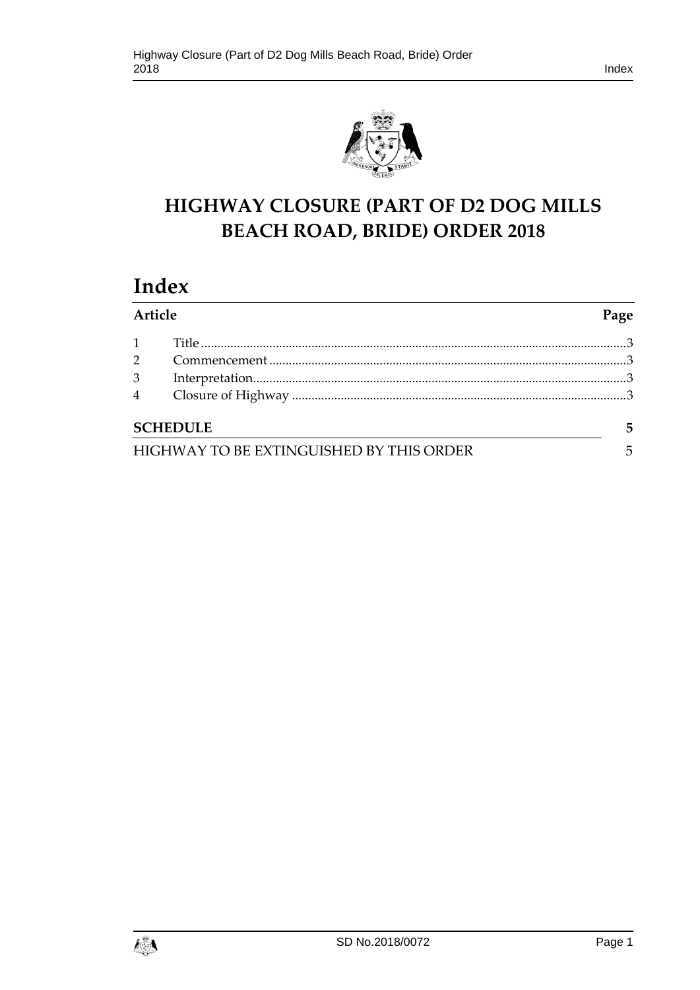



# **HIGHWAY CLOSURE (PART OF D2 DOG MILLS BEACH ROAD, BRIDE) ORDER 2018**

# **Index**

| <b>Article</b>                           |  | Page |
|------------------------------------------|--|------|
| $1 \quad \blacksquare$                   |  |      |
| $2^{\circ}$                              |  |      |
| 3                                        |  |      |
| $4\overline{ }$                          |  |      |
| <b>SCHEDULE</b>                          |  | 5    |
| HIGHWAY TO BE EXTINGUISHED BY THIS ORDER |  |      |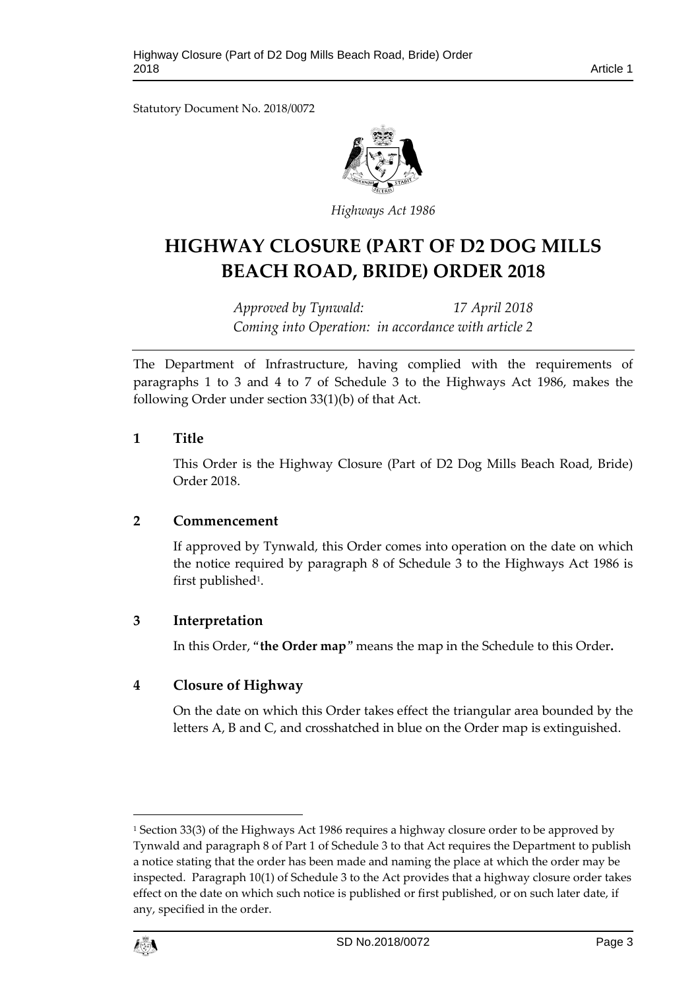Statutory Document No. 2018/0072



*Highways Act 1986*

# **HIGHWAY CLOSURE (PART OF D2 DOG MILLS BEACH ROAD, BRIDE) ORDER 2018**

*Approved by Tynwald: 17 April 2018 Coming into Operation: in accordance with article 2*

The Department of Infrastructure, having complied with the requirements of paragraphs 1 to 3 and 4 to 7 of Schedule 3 to the Highways Act 1986, makes the following Order under section 33(1)(b) of that Act.

# <span id="page-2-0"></span>**1 Title**

This Order is the Highway Closure (Part of D2 Dog Mills Beach Road, Bride) Order 2018.

# <span id="page-2-1"></span>**2 Commencement**

If approved by Tynwald, this Order comes into operation on the date on which the notice required by paragraph 8 of Schedule 3 to the Highways Act 1986 is first published<sup>1</sup>.

# <span id="page-2-2"></span>**3 Interpretation**

In this Order, "**the Order map**" means the map in the Schedule to this Order**.**

# <span id="page-2-3"></span>**4 Closure of Highway**

On the date on which this Order takes effect the triangular area bounded by the letters A, B and C, and crosshatched in blue on the Order map is extinguished.

<sup>1</sup> Section 33(3) of the Highways Act 1986 requires a highway closure order to be approved by Tynwald and paragraph 8 of Part 1 of Schedule 3 to that Act requires the Department to publish a notice stating that the order has been made and naming the place at which the order may be inspected. Paragraph 10(1) of Schedule 3 to the Act provides that a highway closure order takes effect on the date on which such notice is published or first published, or on such later date, if any, specified in the order.



 $\overline{a}$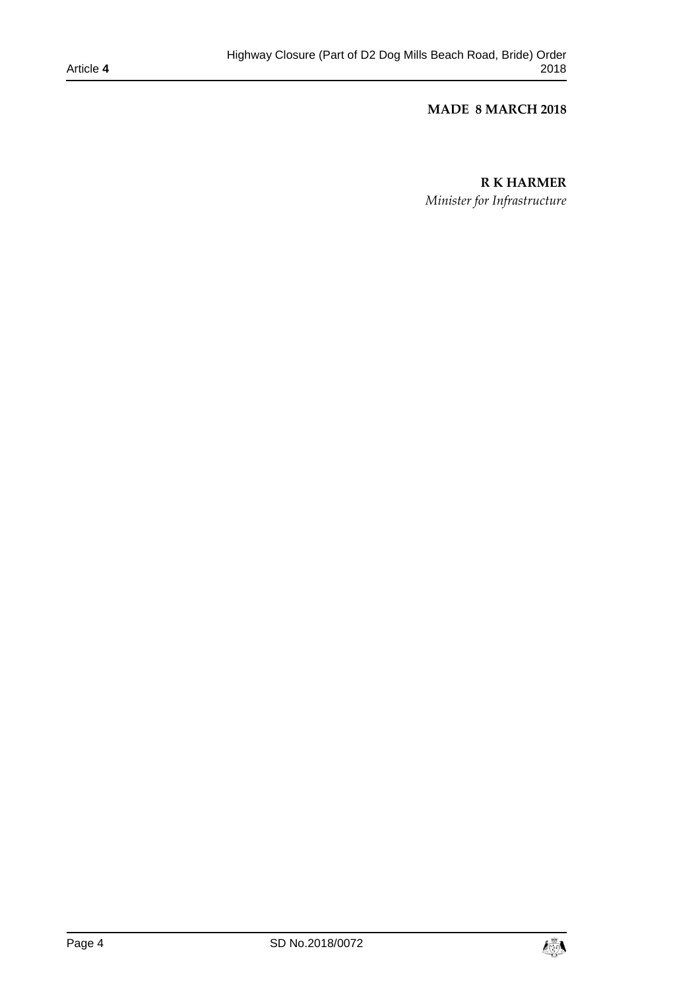#### **MADE 8 MARCH 2018**

#### **R K HARMER**

*Minister for Infrastructure*

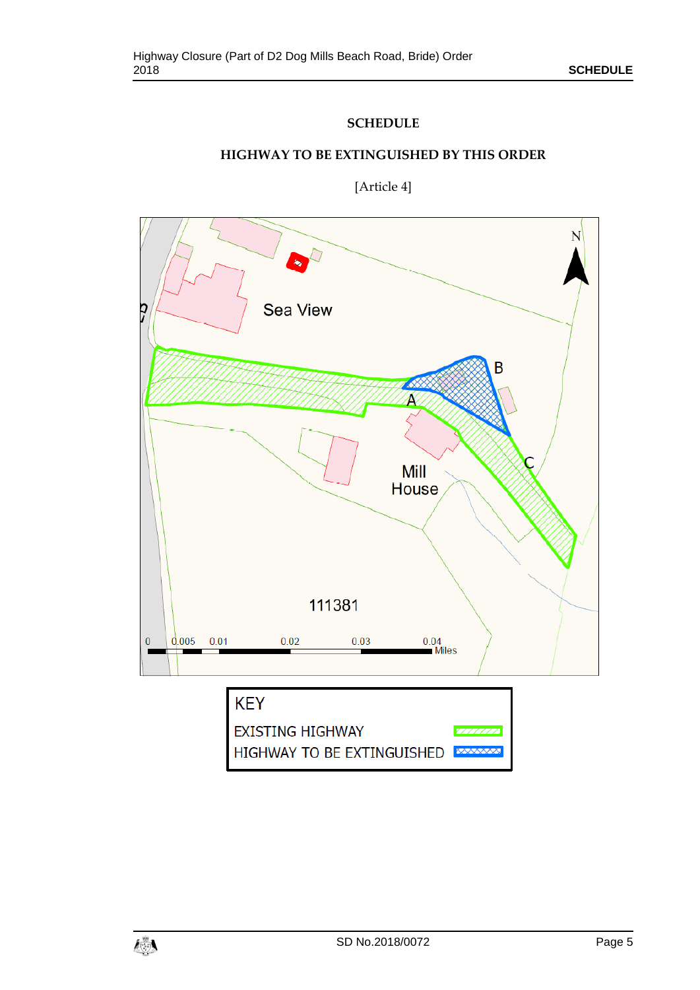# **SCHEDULE**

# **HIGHWAY TO BE EXTINGUISHED BY THIS ORDER**

<span id="page-4-1"></span><span id="page-4-0"></span>

[Article 4]